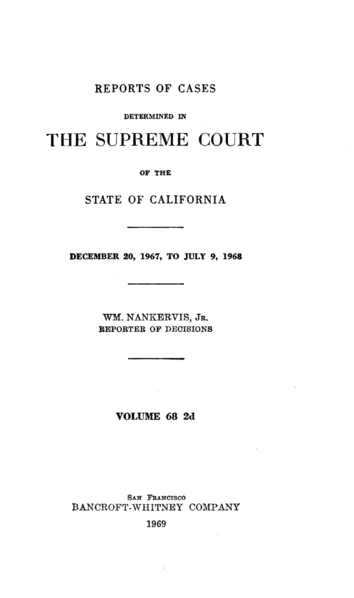## REPORTS OF CASES

#### DETERMINED IN

# THE SUPREME COURT

OF THE

### STATE OF CALIFORNIA

DECEMBER 20, 1967, TO JULY 9, 1968

WM. NANKERVIS, JR. REPORTER OF DECISIONS

VOLUME 68 2d

SAN FRANCISCO BANCROFT-WHITNEY COMPANY

1969

 $\lambda$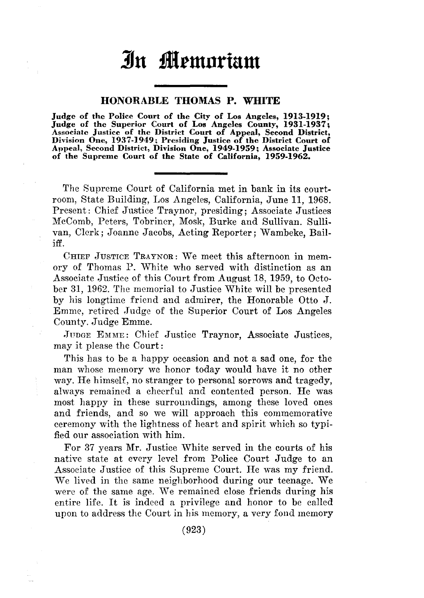# **llu flemnrtam**

#### HONORABLE THOMAS **P. WHITE**

Judge of the Police Court of the City of Los Angeles, 1913-1919;<br>Judge of the Superior Court of Los Angeles County, 1931-1937;<br>Associate Justice of the District Court of Appeal, Second District,<br>Division One, 1937-1949; Pr Appeal, Second District, Division One, 1949-1959; Associate Justice of the Supreme Court of the State of California, 1959-1962.

The Supreme Court of California met in bank in its courtroom, State Building, Los Angeles, California, June 11, 1968. Present: Chief Justice Traynor, presiding; Associate Justices McComb, Peters, Tobriner, Mosk, Burke and Sullivan. Sullivan, Clerk; Joanne Jacobs, Acting Reporter; Wambeke, Bailiff.

CHIEF JusTICE TRAYNOR: We meet this afternoon in memory of Thomas P. White who served with distinction as an Associate Justice of this Court from August 18, 1959, to October 31, 1962. The memorial to Justice White will be presented by his longtime friend and admirer, the Honorable Otto J. Emmc, retired .Judge of the Superior Court of Los Angeles County. Judge Emme.

JUDGE EMME: Chief Justice Traynor, Associate Justices, may it please the Court:

This has to be a happy occasion and not a sad one, for the man whose memory we honor today would have it no other way. He himself, no stranger to personal sorrows and tragedy, always remained a cheerful and contented person. He was most happy in these surroundings, among these loved ones and friends, and so we will approach this commemorative ceremony with the lightness of heart and spirit which so typified our association with him.

For 37 years Mr. Justice White served in the courts of his native state at every level from Police Court Judge to an Associate Justice of this Supreme Court. He was my friend. We lived in the same neighborhood during our teenage. We were of the same age. We remained close friends during his entire life. It is indeed a privilege and honor to be called upon to address the Court in his memory, a very fond memory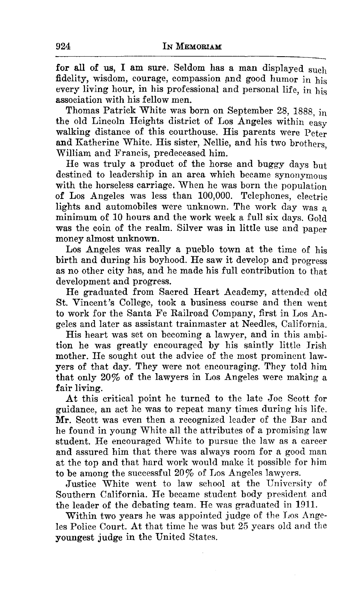for all of us, I am sure. Seldom has a man displayed such fidelity, wisdom, courage, compassion and good humor in his every living hour, in his professional and personal life, in his association with his fellow men.

Thomas Patrick White was born on September 28, 1888, in the old Lincoln Heights district of Los Angeles within easy walking distance of this courthouse. His parents were Peter and Katherine White. His sister, Nellie, and his two brothers William and Francis, predeceased him.

He was truly a product of the horse and buggy days but destined to leadership in an area which became synonymous with the horseless carriage. When he was born the population of Los Angeles was less than 100,000. Telephones, electric lights and automobiles were unknown. The work day was a minimum of 10 hours and the work week a full six days. Gold was the coin of the realm. Silver was in little use and paper money almost unknown.

Los Angeles was really a pueblo town at the time of his birth and during his boyhood. He saw it develop and progress as no other city has, and he made his full contribution to that development and progress.

He graduated from Sacred Heart Academy, attended old St. Vincent's College, took a business course and then went to work for the Santa Fe Railroad Company, first in Los Angeles and later as assistant trainmaster at Needles, California.

His heart was set on becoming a lawyer, and in this ambition he was greatly encouraged by his saintly little Irish mother. He sought out the advice of the most prominent lawyers of that day. They were not encouraging. They told him that only 20% of the lawyers in Los Angeles were making a fair living.

At this critical point he turned to the late Joe Scott for guidance, an act he was to repeat many times during his life. Mr. Scott was even then a recognized leader of the Bar and he found in young White all the attributes of a promising law student. He encouraged White to pursue the law as a career and assured him that there was always room for a good man at the top and that hard work would make it possible for him to be among the successful  $20\%$  of Los Angeles lawyers.

Justice White went to law school at the University of Southern California. He became student body president and the leader of the debating team. He was graduated in 1911.

Within two years he was appointed judge of the Los Angeles Police Court. At that time he was but 25 years old and the youngest judge in the United States.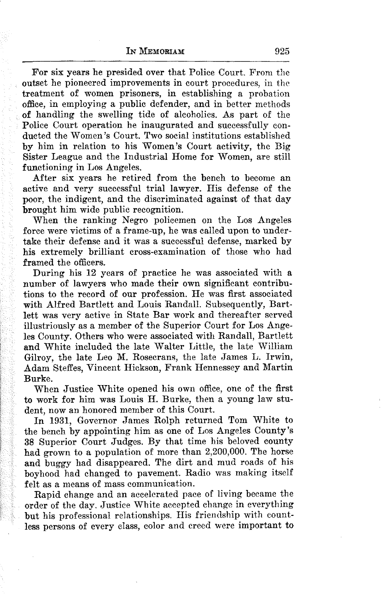For six years he presided over that Police Court. From the outset he pioneered improvements in court procedures, in the treatment of women prisoners, in establishing a probation office, in employing a public defender, and in better methods of handling the swelling tide of alcoholics. As part of the Police Court operation he inaugurated and successfully conducted the Women's Court. Two social institutions established by him in relation to his Women's Court activity, the Big Sister League and the Industrial Home for Women, are still functioning in Los Angeles.

After six years he retired from the bench to become an active and very successful trial lawyer. His defense of the poor, the indigent, and the discriminated against of that day brought him wide public recognition.

When the ranking Negro policemen on the Los Angeles force were victims of a frame-up, he was called upon to undertake their defense and it was a successful defense, marked by his extremely brilliant cross-examination of those who had framed the officers.

During his 12 years of practice he was associated with a number of lawyers who made their own significant contributions to the record of our profession. He was first associated with Alfred Bartlett and Louis Randall. Subsequently, Bartlett was very active in State Bar work and thereafter served illustriously as a member of the Superior Court for Los Angeles County. Others who were associated with Randall, Bartlett and White included the late Walter Little, the late William Gilroy, the late Leo M. Rosecrans, the late James L. Irwin, Adam Steffes, Vincent Hickson, Frank Hennessey and Martin Burke.

When Justice White opened his own office, one of the first to work for him was Louis H. Burke, then a youug law student, now an honored member of this Court.

In 1931, Governor James Rolph returned Tom White to the bench by appointing him as one of Los Angeles County's 38 Superior Court Judges. By that time his beloved county had grown to a population of more than 2,200,000. The horse and buggy had disappeared. The dirt and mud roads of his boyhood had changed to pavement. Radio was making itself felt as a means of mass communication.

Rapid change and an accelerated pace of living became the order of the day. Justice White accepted change in everything but his professional relationships. His friendship with countless persons of every class, color and creed were important to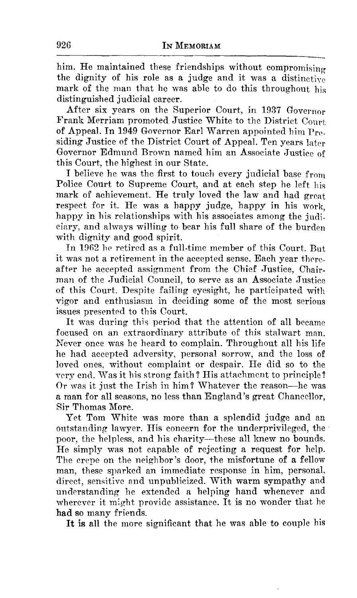him. He maintained these friendships without compromising the dignity of his role as a judge and it was a distinctive mark of the man that he was able to do this throughout his distinguished judicial career.

After six years on the Superior Court, in 1937 Governor Frank Merriam promoted Justice White to the District Court of Appeal. In 1949 Governor Earl Warren appointed him  $Pr_{\theta}$ siding Justice of the District Court of Appeal. Ten years later Governor Edmund Brown named him an Associate Justice of this Court, the highest in our State.

I believe he was the first to touch every judicial base from Police Court to Supreme Court, and at each step he left his mark of achievement. He truly loved the law and had great respect for it. He was a happy judge, happy in his work happy in his relationships with his associates among the judiciary, and always willing to bear his full share of the burden with dignity and good spirit.

In 1962 he retired as a full-time member of this Court. But it was not a retirement in the accepted sense. Each year thereafter he accepted assignment from the Chief Justice, Chairman of the Judicial Council, to serve as an Associate Justice of this Court. Despite failing eyesight, he participated with vigor and enthusiasm in deciding some of the most serious issues presented to this Court.

It was during this period that the attention of all became focused on an extraordinary attribute of this stalwart man. Never once was be heard to complain. Throughout all his life he had accepted adversity, personal sorrow, and the loss of loved ones, without complaint or despair. He did so to the very end. Was it his strong faith ? His attachment to principle ? Or was it just the Irish in him? Whatever the reason-he was a man for all seasons, no less than England's great Chancellor, Sir Thomas More.

Yet Tom White was more than a splendid judge and an outstanding lawyer. His concern for the underprivileged, the poor, the helpless, and his charity---these all knew no bounds. He simply was not capable of rejecting a request for help. The crepe on the neighbor's door, the misfortune of a fellow man, these sparked an immediate response in him, personal, direct, sensitive and unpublicized. With warm sympathy and understanding he extended a helping hand whenever and wherever it might provide assistance. It is no wonder that he had so many friends.

It is all the more significant that he was able to couple his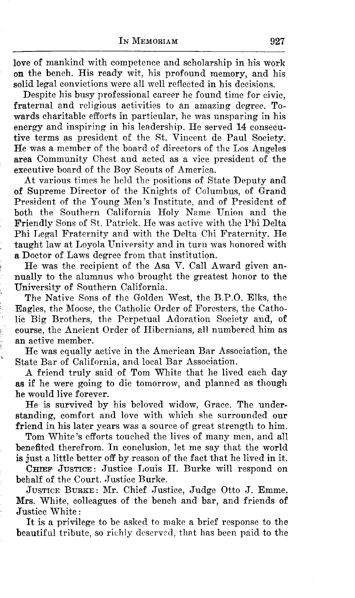love of mankind with competence and scholarship in his work on the bench. His ready wit, his profound memory, and his solid legal convictions were all well reflected in his decisions.

Despite his busy professional career he found time for civic, fraternal and religious activities to an amazing degree. Towards charitable efforts in particular, he was unsparing in his energy and inspiring in his leadership. He served 14 consecutive terms as president of the St. Vincent de Paul Society. He was a member of the board of directors of the Los Angeles area Community Chest and acted as a vice president of the executive board of the Boy Scouts of America.

At various times he held the positions of State Deputy and of Supreme Director of the Knights of Columbus, of Grand President of the Young Men's Institute, and of President of both the Southern California Holy Name Union and the Friendly Sons of St. Patrick. He was active with the Phi Delta Phi Legal Fraternity and with the Delta Chi Fraternity. He taught law at Loyola University and in turn was honored with a Doctor of Laws degree from that institution.

He was the recipient of the Asa V. Call Award given annually to the alumnus who brought the greatest honor to the University of Southern California.

The Native Sons of the Golden West, the B.P.O. Elks, the Eagles, the Moose, the Catholic Order of Foresters, the Catholic Big Brothers, the Perpetual Adoration Society and, of course, the Ancient Order of Hibernians, all numbered him as an active member.

He was equally active in the American Bar Association, the State Bar of California, and local Bar Association.

A friend truly said of Tom White that he lived each day as if he were going to die tomorrow, and planned as though he would live forever.

He is survived by his beloved widow, Grace. The understanding, comfort and love with which she surrounded our friend in his later years was a source of great strength to him.

Tom White's efforts touched the lives of many men, and all benefited therefrom. In conclusion, let me say that the world is just a little better off by reason of the fact that he lived in it.

CHIEF JUSTICE: Justice Louis H. Burke will respond on behalf of the Court. Justice Burke.

JUSTICE BURKE: Mr. Chief Justice, Judge Otto J. Emme, Mrs. White, colleagues of the bench and bar, and friends of Justice White:

It is a privilege to be asked to make a brief response to the beautiful tribute, so richly deserved, that has been paid to the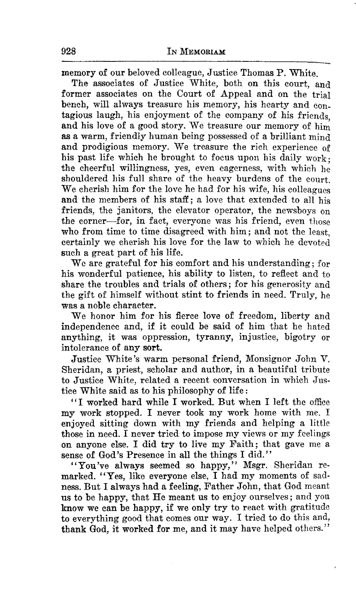memory of our beloved colleague, Justice Thomas P. White.

The associates of Justice White, both on this court, and former associates on the Court of Appeal and on the trial bench, will always treasure his memory, his hearty and contagious laugh, his enjoyment of the company of his friends and his love of a good story. We treasure our memory of  $\lim_{n\to\infty}$ as a warm, friendly human being possessed of a brilliant mind and prodigious memory. We treasure the rich experience of his past life which he brought to focus upon his daily work. the cheerful wiUingness, yes, even eagerness, with which he shouldered his full share of the heavy burdens of the court. We cherish him for the love he had for his wife, his colleagues and the members of his staff; a love that extended to all his friends, the janitors, the elevator operator, the newsboys on the corner-for, in fact, everyone was his friend, even those who from time to time disagreed with him; and not the least, certainly we cherish his love for the law to which he devoted such a great part of his life.

We are grateful for his comfort and his understanding; for his wonderful patience, his ability to listen, to reflect and to share the troubles and trials of others; for his generosity and the gift of himself without stint to friends in need. Truly, he was a noble character.

We honor him for his fierce love of freedom, liberty and independence and, if it could be said of him that he hated anything, it was oppression, tyranny, injustice, bigotry or intolerance of any sort.

Justice White's warm personal friend, Monsignor John V. Sheridan, a priest, scholar and author, in a beautiful tribute to Justice White, related a recent conversation in which Justice White said as to his philosophy of life :

''I worked hard while I worked. But when I left the office my work stopped. I never took my work home with me. I enjoyed sitting down with my friends and helping a little those in need. I never tried to impose my views or my feelings on anyone else. I did try to live my Faith; that gave me a sense of God's Presence in all the things I did.''

"You've always seemed so happy," Msgr. Sheridan remarked. "Yes, like everyone else, I had my moments of sadness. But I always had a feeling, Father John, that God meant us to be happy, that He meant us to enjoy ourselves; and you know we can be happy, if we only try to react with gratitude to everything good that comes our way. I tried to do this and, thank God, it worked for me, and it may have helped others."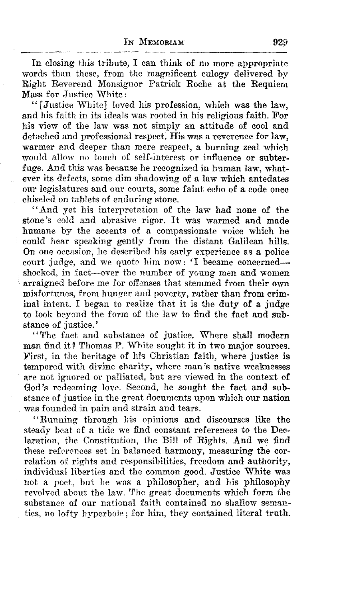In closing this tribute, I can think of no more appropriate words than these, from the magnificent eulogy delivered by Right Reverend Monsignor Patrick Roche at the Requiem Mass for Justice \Vhite:

"[Justice 'White] loved his profession, which was the law, and his faith in its ideals was rooted in his religious faith. For his view of the law was not simply an attitude of cool and detached and professional respect. His was a reverence for law, warmer and deeper than mere respect, a burning zeal which would allow no touch of self-interest or influence or subterfuge. And this was because he recognized in human law, whatever its defects, some dim shadowing of a law which antedates our legislatures and our courts, some faint echo of a code once chiseled on tablets of enduring stone.

"And yet his interpretation of the law had none of the stone's cold and abrasive rigor. It was warmed and made humane by the accents of a compassionate voice which he could hear speaking gently from the distant Galilean hills. On one occasion, he described his early experience as a police court judge, and we quote him now: 'I became concernedshocked, in fact-over the number of young men and women arraigned before me for offenses that stemmed from their own misfortunes, from hunger and poverty, rather than from criminal intent. I began to realize that it is the duty of a judge to look beyond the form of the law to find the fact and substance of justice.'

"The fact and substance of justice. Where shall modern man find it? Thomas P. White sought it in two major sources. First, in the heritage of his Christian faith, where justice is tempered with divine charity, where man's native weaknesses are not ignored or palliated, but are viewed in the context of God's redeeming love. Second, he sought the fact and substance of justice in the great documents upon which our nation was founded in pain and strain and tears.

"Running through his opinions and discourses like the steady beat of a tide we find constant references to the Declaration, the Constitution, the Bill of Rights. And we find these references set in balanced harmony, measuring the correlation of rights and responsibilities, freedom and authority, individual liberties and the common good. Justice White was not a poet, but he wns a philosopher, and his philosophy revolved about the law. The great documents which form the substance of our national faith contained no shallow semantics, no lofty hyperbole; for him, they contained literal truth.